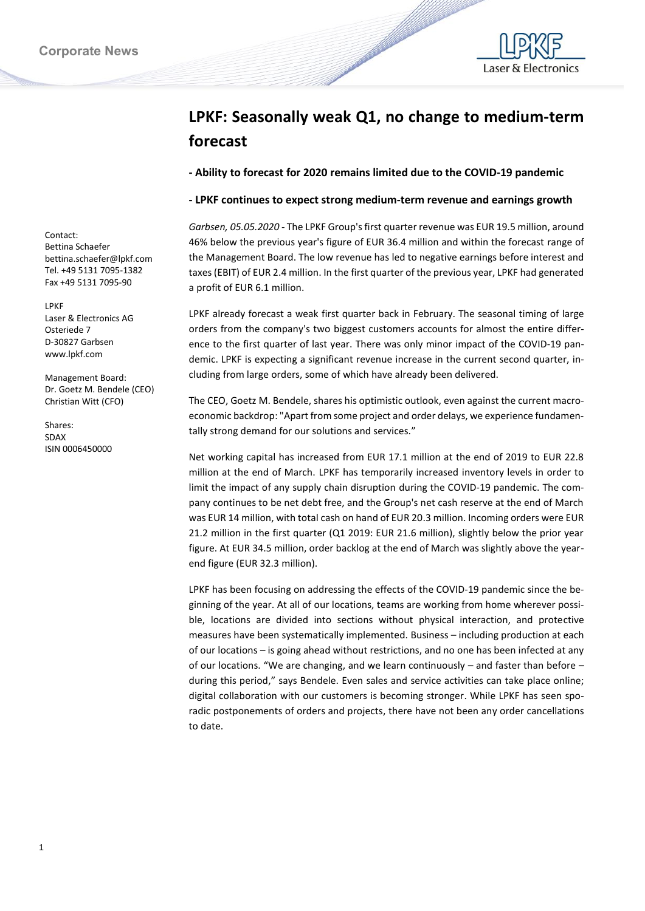

## **LPKF: Seasonally weak Q1, no change to medium-term forecast**

**- Ability to forecast for 2020 remains limited due to the COVID-19 pandemic**

## **- LPKF continues to expect strong medium-term revenue and earnings growth**

*Garbsen, 05.05.2020 -* The LPKF Group's first quarter revenue was EUR 19.5 million, around 46% below the previous year's figure of EUR 36.4 million and within the forecast range of the Management Board. The low revenue has led to negative earnings before interest and taxes (EBIT) of EUR 2.4 million. In the first quarter of the previous year, LPKF had generated a profit of EUR 6.1 million.

LPKF already forecast a weak first quarter back in February. The seasonal timing of large orders from the company's two biggest customers accounts for almost the entire difference to the first quarter of last year. There was only minor impact of the COVID-19 pandemic. LPKF is expecting a significant revenue increase in the current second quarter, including from large orders, some of which have already been delivered.

The CEO, Goetz M. Bendele, shares his optimistic outlook, even against the current macroeconomic backdrop: "Apart from some project and order delays, we experience fundamentally strong demand for our solutions and services."

Net working capital has increased from EUR 17.1 million at the end of 2019 to EUR 22.8 million at the end of March. LPKF has temporarily increased inventory levels in order to limit the impact of any supply chain disruption during the COVID-19 pandemic. The company continues to be net debt free, and the Group's net cash reserve at the end of March was EUR 14 million, with total cash on hand of EUR 20.3 million. Incoming orders were EUR 21.2 million in the first quarter (Q1 2019: EUR 21.6 million), slightly below the prior year figure. At EUR 34.5 million, order backlog at the end of March was slightly above the yearend figure (EUR 32.3 million).

LPKF has been focusing on addressing the effects of the COVID-19 pandemic since the beginning of the year. At all of our locations, teams are working from home wherever possible, locations are divided into sections without physical interaction, and protective measures have been systematically implemented. Business – including production at each of our locations – is going ahead without restrictions, and no one has been infected at any of our locations. "We are changing, and we learn continuously – and faster than before – during this period," says Bendele. Even sales and service activities can take place online; digital collaboration with our customers is becoming stronger. While LPKF has seen sporadic postponements of orders and projects, there have not been any order cancellations to date.

Contact: Bettina Schaefer bettina.schaefer@lpkf.com Tel. +49 5131 7095-1382 Fax +49 5131 7095-90

LPKF Laser & Electronics AG Osteriede 7 D-30827 Garbsen www.lpkf.com

Management Board: Dr. Goetz M. Bendele (CEO) Christian Witt (CFO)

Shares: SDAX ISIN 0006450000